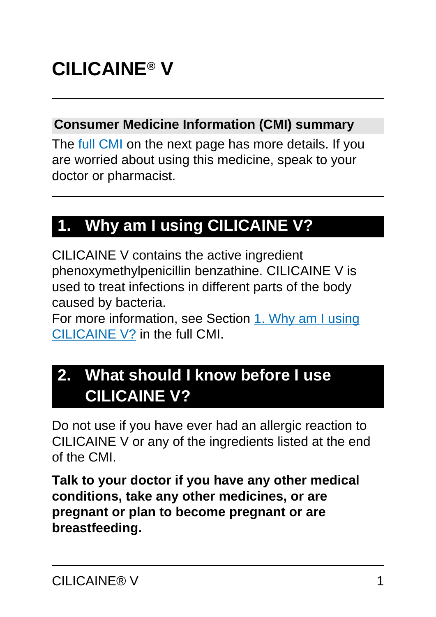#### **Consumer Medicine Information (CMI) summary**

The [full CMI](#page-4-0) on the next page has more details. If you are worried about using this medicine, speak to your doctor or pharmacist.

## **1. Why am I using CILICAINE V?**

CILICAINE V contains the active ingredient phenoxymethylpenicillin benzathine. CILICAINE V is used to treat infections in different parts of the body caused by bacteria.

For more information, see Section [1. Why am I using](#page-4-1) [CILICAINE V?](#page-4-1) in the full CMI.

## **2. What should I know before I use CILICAINE V?**

Do not use if you have ever had an allergic reaction to CILICAINE V or any of the ingredients listed at the end of the CMI.

**Talk to your doctor if you have any other medical conditions, take any other medicines, or are pregnant or plan to become pregnant or are breastfeeding.**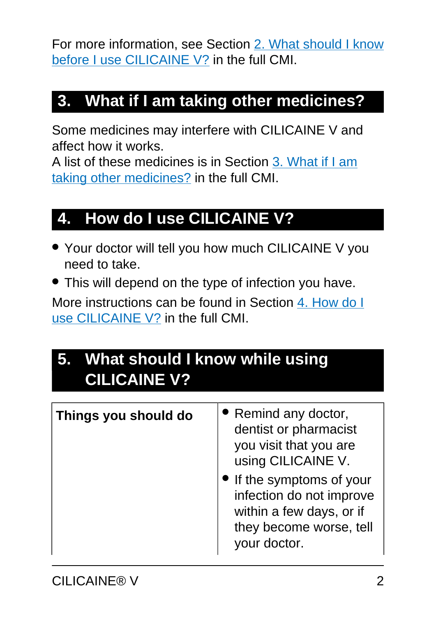For more information, see Section [2. What should I know](#page-5-0) [before I use CILICAINE V?](#page-5-0) in the full CMI.

## **3. What if I am taking other medicines?**

Some medicines may interfere with CILICAINE V and affect how it works.

A list of these medicines is in Section [3. What if I am](#page-7-0) [taking other medicines?](#page-7-0) in the full CMI.

### **4. How do I use CILICAINE V?**

- Your doctor will tell you how much CILICAINE V you need to take.
- This will depend on the type of infection you have.

More instructions can be found in Section [4. How do I](#page-8-0) [use CILICAINE V?](#page-8-0) in the full CMI.

## **5. What should I know while using CILICAINE V?**

| Things you should do | • Remind any doctor,<br>dentist or pharmacist<br>you visit that you are<br>using CILICAINE V.<br>If the symptoms of your<br>infection do not improve<br>within a few days, or if<br>they become worse, tell<br>vour doctor. |
|----------------------|-----------------------------------------------------------------------------------------------------------------------------------------------------------------------------------------------------------------------------|
|                      |                                                                                                                                                                                                                             |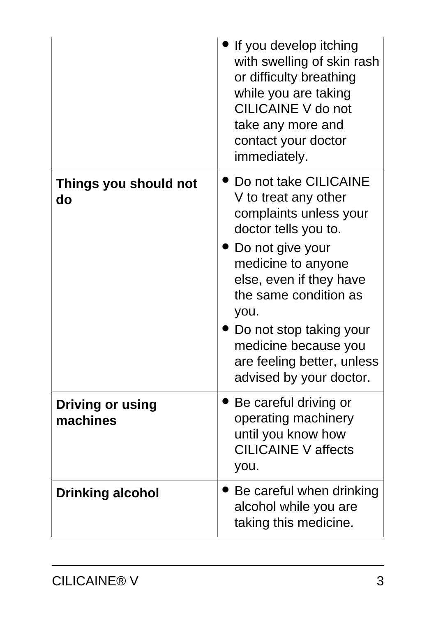|                                     | If you develop itching<br>with swelling of skin rash<br>or difficulty breathing<br>while you are taking<br><b>CILICAINE V do not</b><br>take any more and<br>contact your doctor<br>immediately.                                                                                                                  |
|-------------------------------------|-------------------------------------------------------------------------------------------------------------------------------------------------------------------------------------------------------------------------------------------------------------------------------------------------------------------|
| Things you should not<br>do         | Do not take CILICAINE<br>V to treat any other<br>complaints unless your<br>doctor tells you to.<br>Do not give your<br>medicine to anyone<br>else, even if they have<br>the same condition as<br>you.<br>Do not stop taking your<br>medicine because you<br>are feeling better, unless<br>advised by your doctor. |
| <b>Driving or using</b><br>machines | Be careful driving or<br>operating machinery<br>until you know how<br><b>CILICAINE V affects</b><br>you.                                                                                                                                                                                                          |
| <b>Drinking alcohol</b>             | Be careful when drinking<br>alcohol while you are<br>taking this medicine.                                                                                                                                                                                                                                        |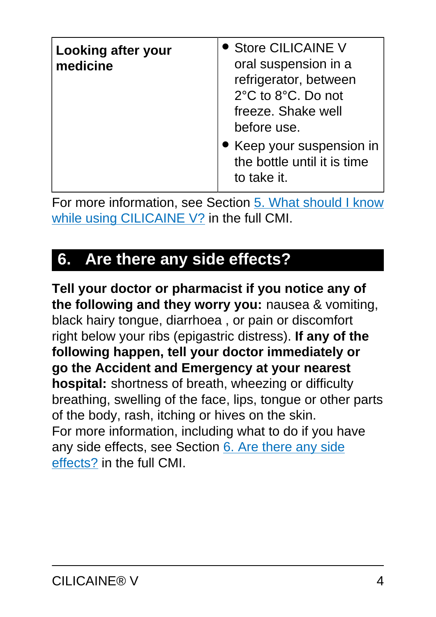| Looking after your<br>medicine | • Store CILICAINE V<br>oral suspension in a<br>refrigerator, between<br>2°C to 8°C. Do not<br>freeze. Shake well<br>before use. |
|--------------------------------|---------------------------------------------------------------------------------------------------------------------------------|
|                                | • Keep your suspension in<br>the bottle until it is time<br>to take it.                                                         |

For more information, see Section [5. What should I know](#page-11-0) [while using CILICAINE V?](#page-11-0) in the full CMI.

## **6. Are there any side effects?**

**Tell your doctor or pharmacist if you notice any of the following and they worry you:** nausea & vomiting, black hairy tongue, diarrhoea , or pain or discomfort right below your ribs (epigastric distress). **If any of the following happen, tell your doctor immediately or go the Accident and Emergency at your nearest hospital:** shortness of breath, wheezing or difficulty breathing, swelling of the face, lips, tongue or other parts of the body, rash, itching or hives on the skin. For more information, including what to do if you have any side effects, see Section [6. Are there any side](#page-14-0) [effects?](#page-14-0) in the full CMI.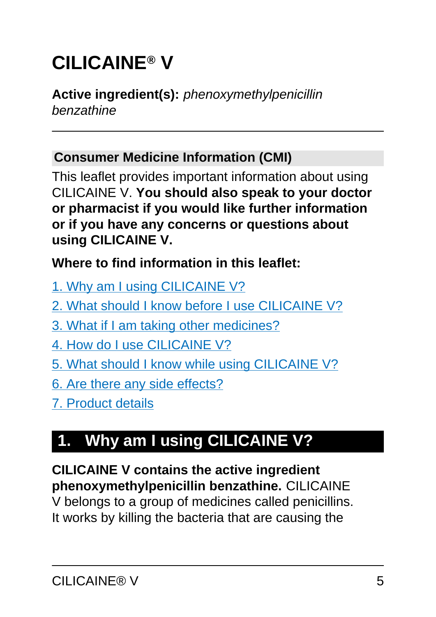# <span id="page-4-0"></span>**CILICAINE® V**

#### **Active ingredient(s):** phenoxymethylpenicillin benzathine

#### **Consumer Medicine Information (CMI)**

This leaflet provides important information about using CILICAINE V. **You should also speak to your doctor or pharmacist if you would like further information or if you have any concerns or questions about using CILICAINE V.**

#### **Where to find information in this leaflet:**

- [1. Why am I using CILICAINE V?](#page-4-1)
- [2. What should I know before I use CILICAINE V?](#page-5-0)
- [3. What if I am taking other medicines?](#page-7-0)
- [4. How do I use CILICAINE V?](#page-8-0)
- [5. What should I know while using CILICAINE V?](#page-11-0)
- [6. Are there any side effects?](#page-14-0)
- [7. Product details](#page-17-0)

## <span id="page-4-1"></span>**1. Why am I using CILICAINE V?**

**CILICAINE V contains the active ingredient phenoxymethylpenicillin benzathine.** CILICAINE

V belongs to a group of medicines called penicillins. It works by killing the bacteria that are causing the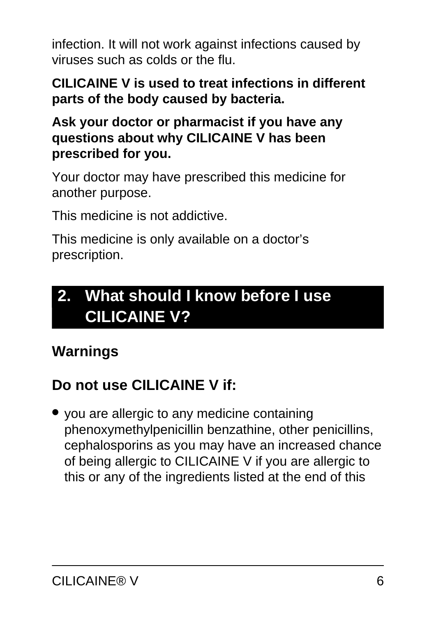infection. It will not work against infections caused by viruses such as colds or the flu.

#### **CILICAINE V is used to treat infections in different parts of the body caused by bacteria.**

#### **Ask your doctor or pharmacist if you have any questions about why CILICAINE V has been prescribed for you.**

Your doctor may have prescribed this medicine for another purpose.

This medicine is not addictive.

This medicine is only available on a doctor's prescription.

## <span id="page-5-0"></span>**2. What should I know before I use CILICAINE V?**

## **Warnings**

## **Do not use CILICAINE V if:**

● you are allergic to any medicine containing phenoxymethylpenicillin benzathine, other penicillins, cephalosporins as you may have an increased chance of being allergic to CILICAINE V if you are allergic to this or any of the ingredients listed at the end of this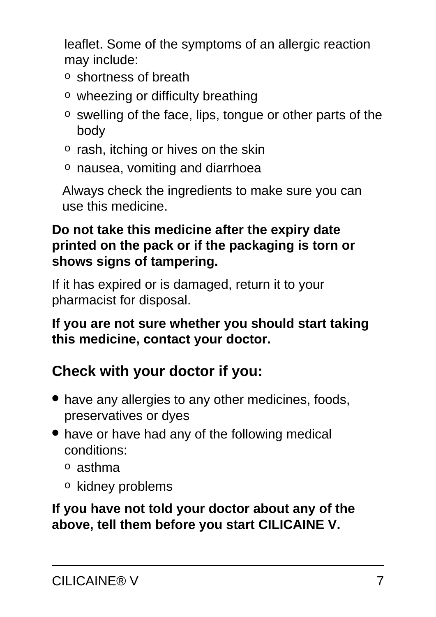leaflet. Some of the symptoms of an allergic reaction may include:

- o shortness of breath
- o wheezing or difficulty breathing
- o swelling of the face, lips, tongue or other parts of the body
- $\circ$  rash, itching or hives on the skin
- o nausea, vomiting and diarrhoea

Always check the ingredients to make sure you can use this medicine.

#### **Do not take this medicine after the expiry date printed on the pack or if the packaging is torn or shows signs of tampering.**

If it has expired or is damaged, return it to your pharmacist for disposal.

#### **If you are not sure whether you should start taking this medicine, contact your doctor.**

## **Check with your doctor if you:**

- have any allergies to any other medicines, foods, preservatives or dyes
- have or have had any of the following medical conditions:
	- o asthma
	- o kidney problems

**If you have not told your doctor about any of the above, tell them before you start CILICAINE V.**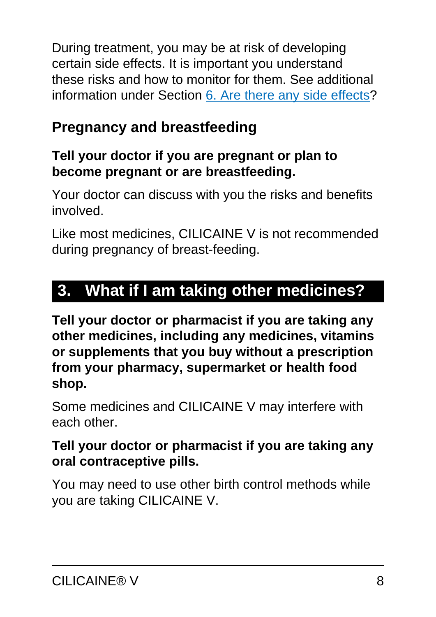During treatment, you may be at risk of developing certain side effects. It is important you understand these risks and how to monitor for them. See additional information under Section [6. Are there any side effects](#page-14-0)?

## **Pregnancy and breastfeeding**

### **Tell your doctor if you are pregnant or plan to become pregnant or are breastfeeding.**

Your doctor can discuss with you the risks and benefits involved.

Like most medicines, CILICAINE V is not recommended during pregnancy of breast-feeding.

## <span id="page-7-0"></span>**3. What if I am taking other medicines?**

**Tell your doctor or pharmacist if you are taking any other medicines, including any medicines, vitamins or supplements that you buy without a prescription from your pharmacy, supermarket or health food shop.**

Some medicines and CILICAINE V may interfere with each other.

### **Tell your doctor or pharmacist if you are taking any oral contraceptive pills.**

You may need to use other birth control methods while you are taking CILICAINE V.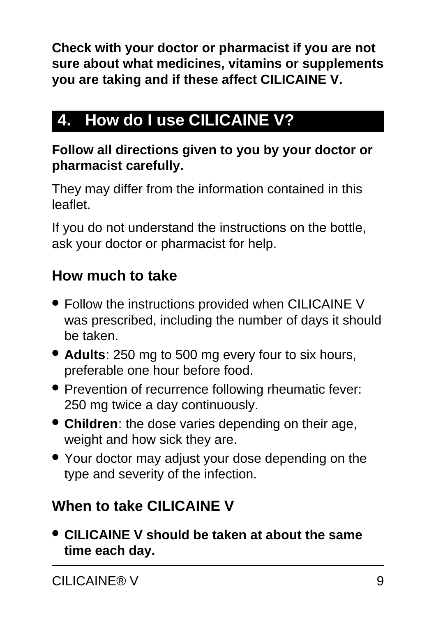**Check with your doctor or pharmacist if you are not sure about what medicines, vitamins or supplements you are taking and if these affect CILICAINE V.**

## <span id="page-8-0"></span>**4. How do I use CILICAINE V?**

#### **Follow all directions given to you by your doctor or pharmacist carefully.**

They may differ from the information contained in this leaflet.

If you do not understand the instructions on the bottle, ask your doctor or pharmacist for help.

### **How much to take**

- Follow the instructions provided when CILICAINE V was prescribed, including the number of days it should be taken.
- **Adults**: 250 mg to 500 mg every four to six hours, preferable one hour before food.
- Prevention of recurrence following rheumatic fever: 250 mg twice a day continuously.
- **Children**: the dose varies depending on their age, weight and how sick they are.
- Your doctor may adjust your dose depending on the type and severity of the infection.

## **When to take CILICAINE V**

● **CILICAINE V should be taken at about the same time each day.**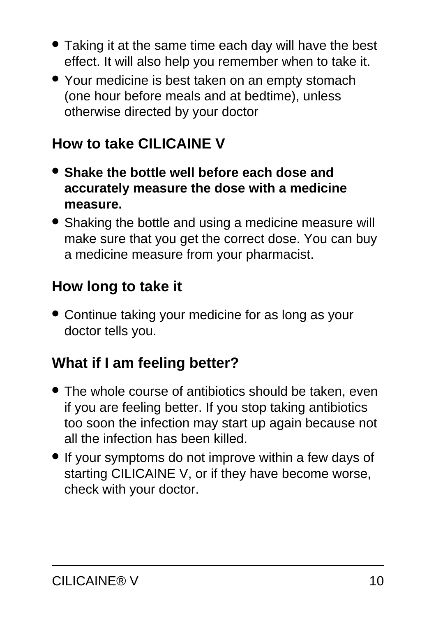- Taking it at the same time each day will have the best effect. It will also help you remember when to take it.
- Your medicine is best taken on an empty stomach (one hour before meals and at bedtime), unless otherwise directed by your doctor

### **How to take CILICAINE V**

- **Shake the bottle well before each dose and accurately measure the dose with a medicine measure.**
- Shaking the bottle and using a medicine measure will make sure that you get the correct dose. You can buy a medicine measure from your pharmacist.

### **How long to take it**

• Continue taking your medicine for as long as your doctor tells you.

### **What if I am feeling better?**

- The whole course of antibiotics should be taken, even if you are feeling better. If you stop taking antibiotics too soon the infection may start up again because not all the infection has been killed.
- If your symptoms do not improve within a few days of starting CILICAINE V, or if they have become worse, check with your doctor.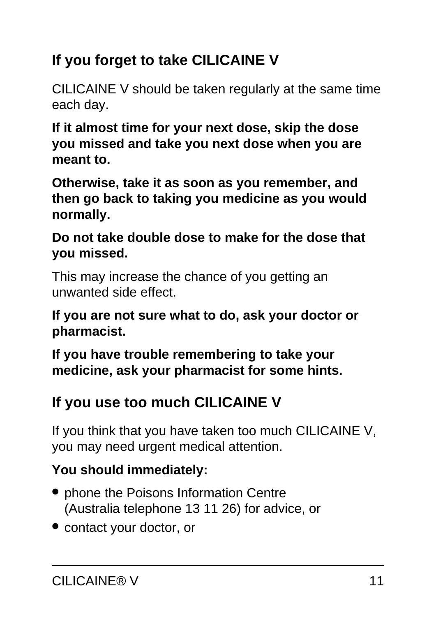## **If you forget to take CILICAINE V**

CILICAINE V should be taken regularly at the same time each day.

**If it almost time for your next dose, skip the dose you missed and take you next dose when you are meant to.**

**Otherwise, take it as soon as you remember, and then go back to taking you medicine as you would normally.**

**Do not take double dose to make for the dose that you missed.**

This may increase the chance of you getting an unwanted side effect.

**If you are not sure what to do, ask your doctor or pharmacist.**

**If you have trouble remembering to take your medicine, ask your pharmacist for some hints.**

## **If you use too much CILICAINE V**

If you think that you have taken too much CILICAINE V, you may need urgent medical attention.

### **You should immediately:**

- phone the Poisons Information Centre (Australia telephone 13 11 26) for advice, or
- contact your doctor, or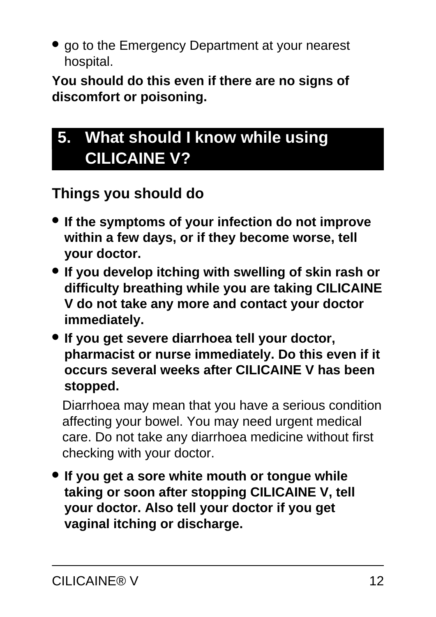• go to the Emergency Department at your nearest hospital.

**You should do this even if there are no signs of discomfort or poisoning.**

## <span id="page-11-0"></span>**5. What should I know while using CILICAINE V?**

### **Things you should do**

- **If the symptoms of your infection do not improve within a few days, or if they become worse, tell your doctor.**
- **If you develop itching with swelling of skin rash or difficulty breathing while you are taking CILICAINE V do not take any more and contact your doctor immediately.**
- **If you get severe diarrhoea tell your doctor, pharmacist or nurse immediately. Do this even if it occurs several weeks after CILICAINE V has been stopped.**

Diarrhoea may mean that you have a serious condition affecting your bowel. You may need urgent medical care. Do not take any diarrhoea medicine without first checking with your doctor.

● **If you get a sore white mouth or tongue while taking or soon after stopping CILICAINE V, tell your doctor. Also tell your doctor if you get vaginal itching or discharge.**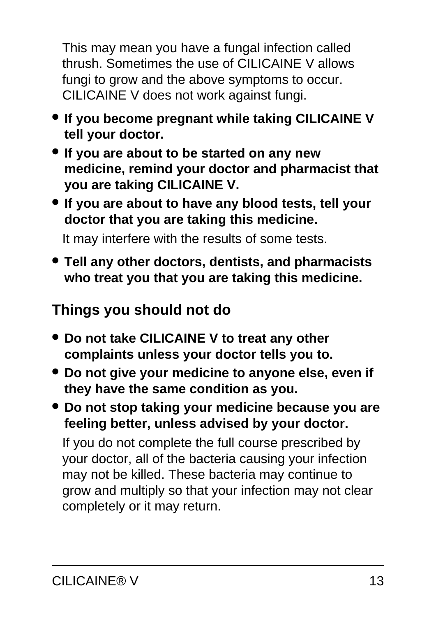This may mean you have a fungal infection called thrush. Sometimes the use of CILICAINE V allows fungi to grow and the above symptoms to occur. CILICAINE V does not work against fungi.

- **If you become pregnant while taking CILICAINE V tell your doctor.**
- **If you are about to be started on any new medicine, remind your doctor and pharmacist that you are taking CILICAINE V.**
- **If you are about to have any blood tests, tell your doctor that you are taking this medicine.**

It may interfere with the results of some tests.

● **Tell any other doctors, dentists, and pharmacists who treat you that you are taking this medicine.**

### **Things you should not do**

- **Do not take CILICAINE V to treat any other complaints unless your doctor tells you to.**
- **Do not give your medicine to anyone else, even if they have the same condition as you.**
- **Do not stop taking your medicine because you are feeling better, unless advised by your doctor.**

If you do not complete the full course prescribed by your doctor, all of the bacteria causing your infection may not be killed. These bacteria may continue to grow and multiply so that your infection may not clear completely or it may return.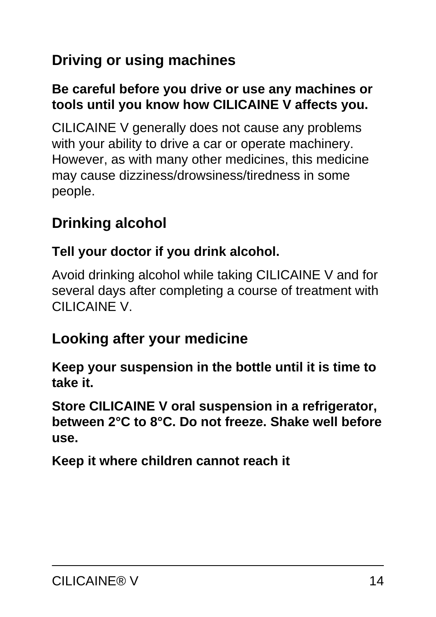## **Driving or using machines**

#### **Be careful before you drive or use any machines or tools until you know how CILICAINE V affects you.**

CILICAINE V generally does not cause any problems with your ability to drive a car or operate machinery. However, as with many other medicines, this medicine may cause dizziness/drowsiness/tiredness in some people.

## **Drinking alcohol**

#### **Tell your doctor if you drink alcohol.**

Avoid drinking alcohol while taking CILICAINE V and for several days after completing a course of treatment with CILICAINE V.

### **Looking after your medicine**

**Keep your suspension in the bottle until it is time to take it.**

**Store CILICAINE V oral suspension in a refrigerator, between 2°C to 8°C. Do not freeze. Shake well before use.**

**Keep it where children cannot reach it**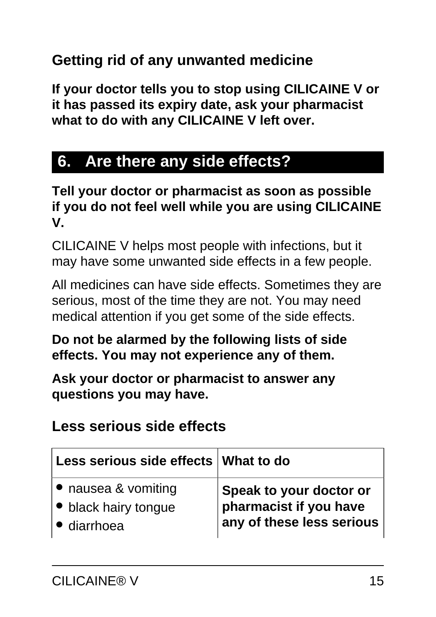### **Getting rid of any unwanted medicine**

**If your doctor tells you to stop using CILICAINE V or it has passed its expiry date, ask your pharmacist what to do with any CILICAINE V left over.**

## <span id="page-14-0"></span>**6. Are there any side effects?**

**Tell your doctor or pharmacist as soon as possible if you do not feel well while you are using CILICAINE V.**

CILICAINE V helps most people with infections, but it may have some unwanted side effects in a few people.

All medicines can have side effects. Sometimes they are serious, most of the time they are not. You may need medical attention if you get some of the side effects.

#### **Do not be alarmed by the following lists of side effects. You may not experience any of them.**

**Ask your doctor or pharmacist to answer any questions you may have.**

### **Less serious side effects**

| Less serious side effects   What to do |                           |
|----------------------------------------|---------------------------|
| • nausea & vomiting                    | Speak to your doctor or   |
| • black hairy tongue                   | pharmacist if you have    |
| · diarrhoea                            | any of these less serious |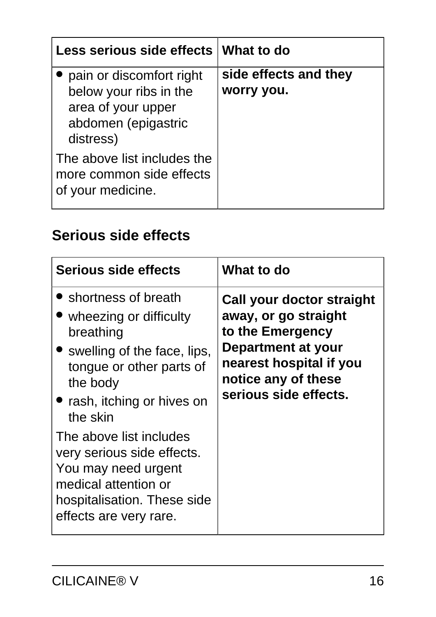| Less serious side effects What to do                                                                         |                                     |
|--------------------------------------------------------------------------------------------------------------|-------------------------------------|
| pain or discomfort right<br>below your ribs in the<br>area of your upper<br>abdomen (epigastric<br>distress) | side effects and they<br>worry you. |
| The above list includes the<br>more common side effects<br>of your medicine.                                 |                                     |

### **Serious side effects**

| Serious side effects                                                                                                                                                                                                                                                                                                                              | What to do                                                                                                                                                                    |
|---------------------------------------------------------------------------------------------------------------------------------------------------------------------------------------------------------------------------------------------------------------------------------------------------------------------------------------------------|-------------------------------------------------------------------------------------------------------------------------------------------------------------------------------|
| Shortness of breath<br>• wheezing or difficulty<br>breathing<br>• swelling of the face, lips,<br>tongue or other parts of<br>the body<br>• rash, itching or hives on<br>the skin<br>The above list includes<br>very serious side effects.<br>You may need urgent<br>medical attention or<br>hospitalisation. These side<br>effects are very rare. | Call your doctor straight<br>away, or go straight<br>to the Emergency<br><b>Department at your</b><br>nearest hospital if you<br>notice any of these<br>serious side effects. |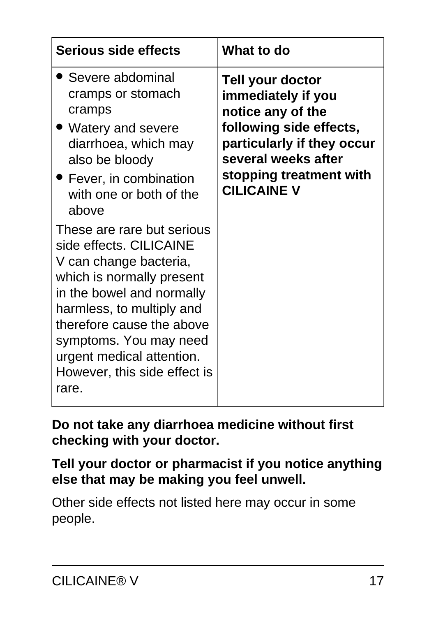| <b>Serious side effects</b>                                                                                                                                                                                                                                                                                                                                                                                                                                                          | What to do                                                                                                                                                                                          |
|--------------------------------------------------------------------------------------------------------------------------------------------------------------------------------------------------------------------------------------------------------------------------------------------------------------------------------------------------------------------------------------------------------------------------------------------------------------------------------------|-----------------------------------------------------------------------------------------------------------------------------------------------------------------------------------------------------|
| Severe abdominal<br>cramps or stomach<br>cramps<br>Watery and severe<br>diarrhoea, which may<br>also be bloody<br>• Fever, in combination<br>with one or both of the<br>above<br>These are rare but serious<br>side effects. CILICAINE<br>V can change bacteria,<br>which is normally present<br>in the bowel and normally<br>harmless, to multiply and<br>therefore cause the above<br>symptoms. You may need<br>urgent medical attention.<br>However, this side effect is<br>rare. | <b>Tell your doctor</b><br>immediately if you<br>notice any of the<br>following side effects,<br>particularly if they occur<br>several weeks after<br>stopping treatment with<br><b>CILICAINE V</b> |

**Do not take any diarrhoea medicine without first checking with your doctor.**

**Tell your doctor or pharmacist if you notice anything else that may be making you feel unwell.**

Other side effects not listed here may occur in some people.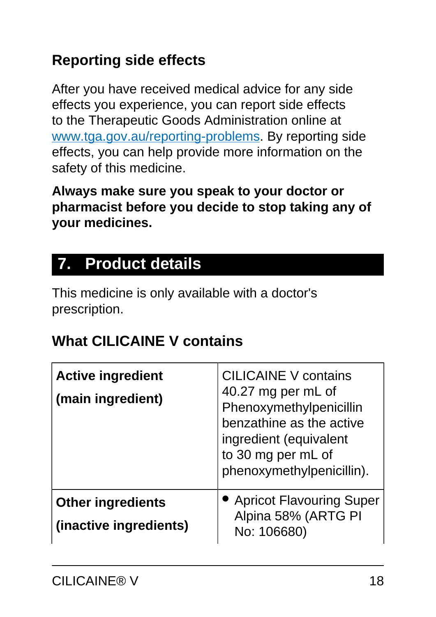## **Reporting side effects**

After you have received medical advice for any side effects you experience, you can report side effects to the Therapeutic Goods Administration online at [www.tga.gov.au/reporting-problems.](http://www.tga.gov.au/reporting-problems) By reporting side effects, you can help provide more information on the safety of this medicine.

**Always make sure you speak to your doctor or pharmacist before you decide to stop taking any of your medicines.**

## <span id="page-17-0"></span>**7. Product details**

This medicine is only available with a doctor's prescription.

### **What CILICAINE V contains**

| <b>Active ingredient</b><br>(main ingredient)      | <b>CILICAINE V contains</b><br>40.27 mg per mL of<br>Phenoxymethylpenicillin<br>benzathine as the active<br>ingredient (equivalent<br>to 30 mg per mL of<br>phenoxymethylpenicillin). |
|----------------------------------------------------|---------------------------------------------------------------------------------------------------------------------------------------------------------------------------------------|
| <b>Other ingredients</b><br>(inactive ingredients) | <b>Apricot Flavouring Super</b><br>Alpina 58% (ARTG PI<br>No: 106680)                                                                                                                 |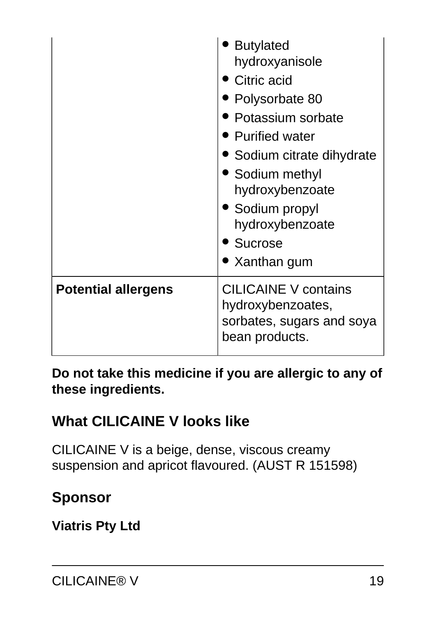|                            | <b>Butylated</b><br>hydroxyanisole<br>Citric acid<br>Polysorbate 80<br>Potassium sorbate<br>• Purified water<br>• Sodium citrate dihydrate<br>• Sodium methyl<br>hydroxybenzoate<br>• Sodium propyl<br>hydroxybenzoate<br>• Sucrose<br>• Xanthan gum |
|----------------------------|------------------------------------------------------------------------------------------------------------------------------------------------------------------------------------------------------------------------------------------------------|
| <b>Potential allergens</b> | <b>CILICAINE V contains</b><br>hydroxybenzoates,<br>sorbates, sugars and soya<br>bean products.                                                                                                                                                      |

**Do not take this medicine if you are allergic to any of these ingredients.**

### **What CILICAINE V looks like**

CILICAINE V is a beige, dense, viscous creamy suspension and apricot flavoured. (AUST R 151598)

### **Sponsor**

**Viatris Pty Ltd**